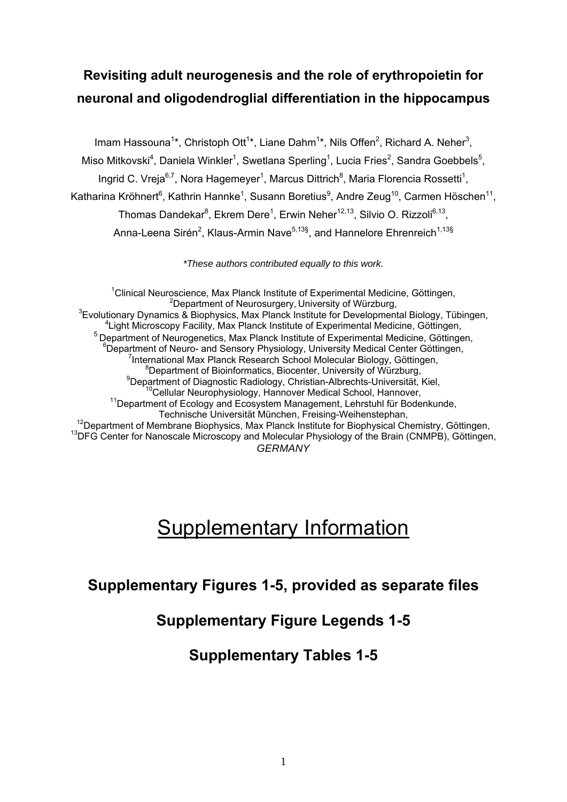# **Revisiting adult neurogenesis and the role of erythropoietin for neuronal and oligodendroglial differentiation in the hippocampus**

Imam Hassouna<sup>1\*</sup>, Christoph Ott<sup>1\*</sup>, Liane Dahm<sup>1\*</sup>, Nils Offen<sup>2</sup>, Richard A. Neher<sup>3</sup>, Miso Mitkovski<sup>4</sup>, Daniela Winkler<sup>1</sup>, Swetlana Sperling<sup>1</sup>, Lucia Fries<sup>2</sup>, Sandra Goebbels<sup>5</sup>, Ingrid C. Vreja $6.7$ , Nora Hagemeyer<sup>1</sup>, Marcus Dittrich<sup>8</sup>, Maria Florencia Rossetti<sup>1</sup>, Katharina Kröhnert<sup>6</sup>, Kathrin Hannke<sup>1</sup>, Susann Boretius<sup>9</sup>, Andre Zeug<sup>10</sup>, Carmen Höschen<sup>11</sup>, Thomas Dandekar<sup>8</sup>, Ekrem Dere<sup>1</sup>, Erwin Neher<sup>12,13</sup>, Silvio O. Rizzoli<sup>6,13</sup>, Anna-Leena Sirén<sup>2</sup>, Klaus-Armin Nave<sup>5,13§</sup>, and Hannelore Ehrenreich<sup>1,13§</sup>

*\*These authors contributed equally to this work.* 

<sup>1</sup>Clinical Neuroscience, Max Planck Institute of Experimental Medicine, Göttingen, <sup>2</sup> Department of Neurosurgery, University of Würzburg,  ${}^{3}$ Evolutionary Dynamics & Biophysics, Max Planck Institute for Developmental Biology, Tübingen, <sup>4</sup> Light Microscopy Facility, Max Planck Institute of Experimental Medicine, Göttingen, <sup>5</sup> Department of Neurogenetics, Max Planck Institute of Experimental Medicine, Göttingen,  $6$ Department of Neuro- and Sensory Physiology, University Medical Center Göttingen, <sup>7</sup>International Max Planck Research School Molecular Biology, Göttingen,  $8$ Department of Bioinformatics, Biocenter, University of Würzburg, <sup>9</sup>Department of Diagnostic Radiology, Christian-Albrechts-Universität, Kiel,<br><sup>10</sup>Cellular Neurophysiology, Hannover Medical School, Hannover,  $11$ Department of Ecology and Ecosystem Management, Lehrstuhl für Bodenkunde, Technische Universität München, Freising-Weihenstephan,<br><sup>12</sup>Department of Membrane Biophysics, Max Planck Institute for Biophysical Chemistry, Göttingen,<br><sup>13</sup>DFG Center for Nanoscale Microscopy and Molecular Physiology of *GERMANY* 

# **Supplementary Information**

## **Supplementary Figures 1-5, provided as separate files**

## **Supplementary Figure Legends 1-5**

### **Supplementary Tables 1-5**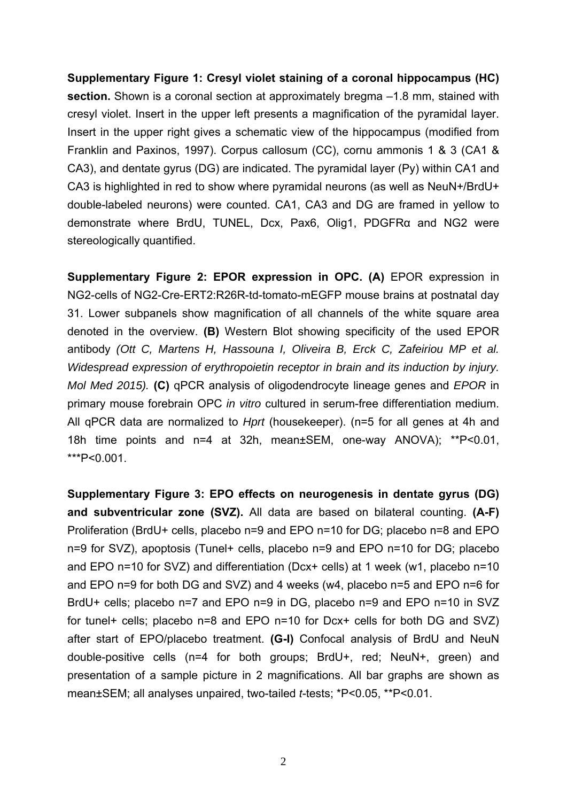**Supplementary Figure 1: Cresyl violet staining of a coronal hippocampus (HC) section.** Shown is a coronal section at approximately bregma –1.8 mm, stained with cresyl violet. Insert in the upper left presents a magnification of the pyramidal layer. Insert in the upper right gives a schematic view of the hippocampus (modified from Franklin and Paxinos, 1997). Corpus callosum (CC), cornu ammonis 1 & 3 (CA1 & CA3), and dentate gyrus (DG) are indicated. The pyramidal layer (Py) within CA1 and CA3 is highlighted in red to show where pyramidal neurons (as well as NeuN+/BrdU+ double-labeled neurons) were counted. CA1, CA3 and DG are framed in yellow to demonstrate where BrdU, TUNEL, Dcx, Pax6, Olig1, PDGFRα and NG2 were stereologically quantified.

**Supplementary Figure 2: EPOR expression in OPC. (A)** EPOR expression in NG2-cells of NG2-Cre-ERT2:R26R-td-tomato-mEGFP mouse brains at postnatal day 31. Lower subpanels show magnification of all channels of the white square area denoted in the overview. **(B)** Western Blot showing specificity of the used EPOR antibody *(Ott C, Martens H, Hassouna I, Oliveira B, Erck C, Zafeiriou MP et al. Widespread expression of erythropoietin receptor in brain and its induction by injury. Mol Med 2015).* **(C)** qPCR analysis of oligodendrocyte lineage genes and *EPOR* in primary mouse forebrain OPC *in vitro* cultured in serum-free differentiation medium. All qPCR data are normalized to *Hprt* (housekeeper). (n=5 for all genes at 4h and 18h time points and n=4 at 32h, mean±SEM, one-way ANOVA); \*\*P<0.01, \*\*\*P<0.001.

**Supplementary Figure 3: EPO effects on neurogenesis in dentate gyrus (DG) and subventricular zone (SVZ).** All data are based on bilateral counting. **(A-F)**  Proliferation (BrdU+ cells, placebo n=9 and EPO n=10 for DG; placebo n=8 and EPO n=9 for SVZ), apoptosis (Tunel+ cells, placebo n=9 and EPO n=10 for DG; placebo and EPO n=10 for SVZ) and differentiation (Dcx+ cells) at 1 week (w1, placebo n=10 and EPO n=9 for both DG and SVZ) and 4 weeks (w4, placebo n=5 and EPO n=6 for BrdU+ cells; placebo n=7 and EPO n=9 in DG, placebo n=9 and EPO n=10 in SVZ for tunel+ cells; placebo n=8 and EPO n=10 for Dcx+ cells for both DG and SVZ) after start of EPO/placebo treatment. **(G-I)** Confocal analysis of BrdU and NeuN double-positive cells (n=4 for both groups; BrdU+, red; NeuN+, green) and presentation of a sample picture in 2 magnifications. All bar graphs are shown as mean±SEM; all analyses unpaired, two-tailed *t*-tests; \*P<0.05, \*\*P<0.01.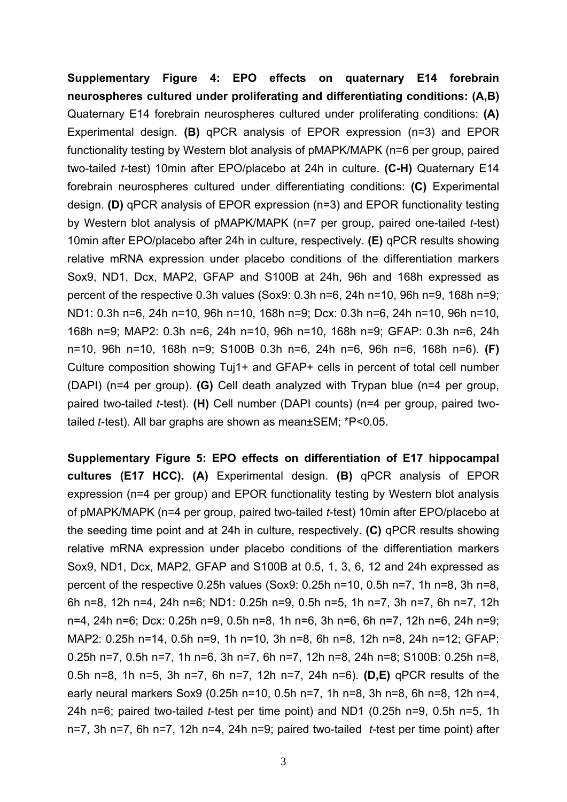**Supplementary Figure 4: EPO effects on quaternary E14 forebrain neurospheres cultured under proliferating and differentiating conditions: (A,B)** Quaternary E14 forebrain neurospheres cultured under proliferating conditions: **(A)** Experimental design. **(B)** qPCR analysis of EPOR expression (n=3) and EPOR functionality testing by Western blot analysis of pMAPK/MAPK (n=6 per group, paired two-tailed *t*-test) 10min after EPO/placebo at 24h in culture. **(C-H)** Quaternary E14 forebrain neurospheres cultured under differentiating conditions: **(C)** Experimental design. **(D)** qPCR analysis of EPOR expression (n=3) and EPOR functionality testing by Western blot analysis of pMAPK/MAPK (n=7 per group, paired one-tailed *t*-test) 10min after EPO/placebo after 24h in culture, respectively. **(E)** qPCR results showing relative mRNA expression under placebo conditions of the differentiation markers Sox9, ND1, Dcx, MAP2, GFAP and S100B at 24h, 96h and 168h expressed as percent of the respective 0.3h values (Sox9: 0.3h n=6, 24h n=10, 96h n=9, 168h n=9; ND1: 0.3h n=6, 24h n=10, 96h n=10, 168h n=9; Dcx: 0.3h n=6, 24h n=10, 96h n=10, 168h n=9; MAP2: 0.3h n=6, 24h n=10, 96h n=10, 168h n=9; GFAP: 0.3h n=6, 24h n=10, 96h n=10, 168h n=9; S100B 0.3h n=6, 24h n=6, 96h n=6, 168h n=6). **(F)** Culture composition showing Tuj1+ and GFAP+ cells in percent of total cell number (DAPI) (n=4 per group). **(G)** Cell death analyzed with Trypan blue (n=4 per group, paired two-tailed *t*-test). **(H)** Cell number (DAPI counts) (n=4 per group, paired twotailed *t*-test). All bar graphs are shown as mean±SEM; \*P<0.05.

**Supplementary Figure 5: EPO effects on differentiation of E17 hippocampal cultures (E17 HCC). (A)** Experimental design. **(B)** qPCR analysis of EPOR expression (n=4 per group) and EPOR functionality testing by Western blot analysis of pMAPK/MAPK (n=4 per group, paired two-tailed *t*-test) 10min after EPO/placebo at the seeding time point and at 24h in culture, respectively. **(C)** qPCR results showing relative mRNA expression under placebo conditions of the differentiation markers Sox9, ND1, Dcx, MAP2, GFAP and S100B at 0.5, 1, 3, 6, 12 and 24h expressed as percent of the respective 0.25h values (Sox9: 0.25h n=10, 0.5h n=7, 1h n=8, 3h n=8, 6h n=8, 12h n=4, 24h n=6; ND1: 0.25h n=9, 0.5h n=5, 1h n=7, 3h n=7, 6h n=7, 12h n=4, 24h n=6; Dcx: 0.25h n=9, 0.5h n=8, 1h n=6, 3h n=6, 6h n=7, 12h n=6, 24h n=9; MAP2: 0.25h n=14, 0.5h n=9, 1h n=10, 3h n=8, 6h n=8, 12h n=8, 24h n=12; GFAP: 0.25h n=7, 0.5h n=7, 1h n=6, 3h n=7, 6h n=7, 12h n=8, 24h n=8; S100B: 0.25h n=8, 0.5h n=8, 1h n=5, 3h n=7, 6h n=7, 12h n=7, 24h n=6). **(D,E)** qPCR results of the early neural markers Sox9 (0.25h n=10, 0.5h n=7, 1h n=8, 3h n=8, 6h n=8, 12h n=4, 24h n=6; paired two-tailed *t*-test per time point) and ND1 (0.25h n=9, 0.5h n=5, 1h n=7, 3h n=7, 6h n=7, 12h n=4, 24h n=9; paired two-tailed *t*-test per time point) after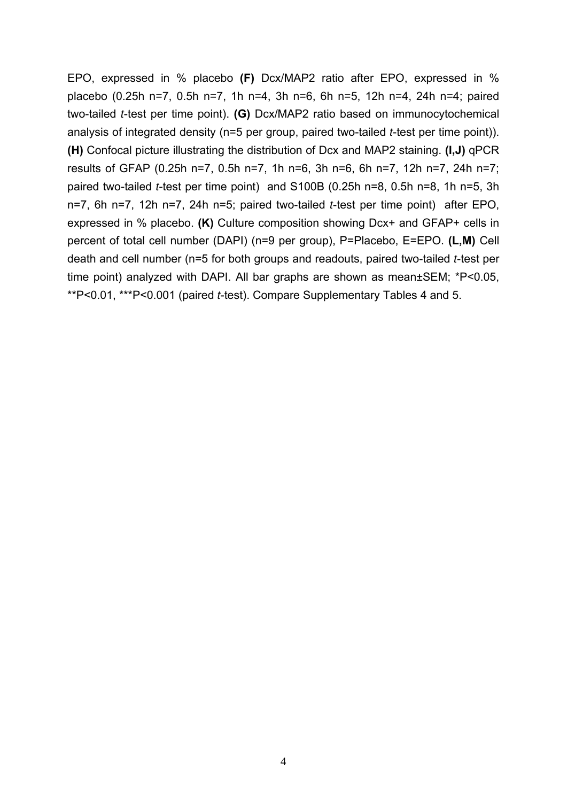EPO, expressed in % placebo **(F)** Dcx/MAP2 ratio after EPO, expressed in % placebo (0.25h n=7, 0.5h n=7, 1h n=4, 3h n=6, 6h n=5, 12h n=4, 24h n=4; paired two-tailed *t*-test per time point). **(G)** Dcx/MAP2 ratio based on immunocytochemical analysis of integrated density (n=5 per group, paired two-tailed *t*-test per time point)). **(H)** Confocal picture illustrating the distribution of Dcx and MAP2 staining. **(I,J)** qPCR results of GFAP (0.25h n=7, 0.5h n=7, 1h n=6, 3h n=6, 6h n=7, 12h n=7, 24h n=7; paired two-tailed *t*-test per time point) and S100B (0.25h n=8, 0.5h n=8, 1h n=5, 3h n=7, 6h n=7, 12h n=7, 24h n=5; paired two-tailed *t*-test per time point) after EPO, expressed in % placebo. **(K)** Culture composition showing Dcx+ and GFAP+ cells in percent of total cell number (DAPI) (n=9 per group), P=Placebo, E=EPO. **(L,M)** Cell death and cell number (n=5 for both groups and readouts, paired two-tailed *t*-test per time point) analyzed with DAPI. All bar graphs are shown as mean±SEM; \*P<0.05, \*\*P<0.01, \*\*\*P<0.001 (paired *t*-test). Compare Supplementary Tables 4 and 5.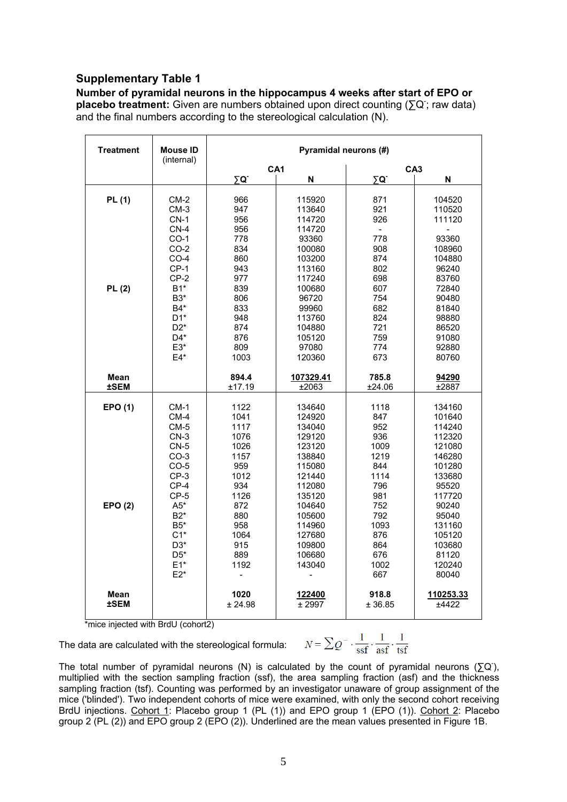#### **Supplementary Table 1**

**Number of pyramidal neurons in the hippocampus 4 weeks after start of EPO or**  placebo treatment: Given are numbers obtained upon direct counting (∑Q; raw data) and the final numbers according to the stereological calculation (N).

| <b>Treatment</b>           | <b>Mouse ID</b><br>(internal)                                                                                                                              | Pyramidal neurons (#)                                                                                                |                                                                                                                                                                    |                                                                                                                                |                                                                                                                                                   |  |
|----------------------------|------------------------------------------------------------------------------------------------------------------------------------------------------------|----------------------------------------------------------------------------------------------------------------------|--------------------------------------------------------------------------------------------------------------------------------------------------------------------|--------------------------------------------------------------------------------------------------------------------------------|---------------------------------------------------------------------------------------------------------------------------------------------------|--|
|                            |                                                                                                                                                            | ΣQ.                                                                                                                  | CA <sub>1</sub><br>N                                                                                                                                               | CA <sub>3</sub><br>ΣØ.<br>N                                                                                                    |                                                                                                                                                   |  |
| PL (1)<br>PL(2)            | $CM-2$<br>$CM-3$<br>$CN-1$<br>$CN-4$<br>$CO-1$<br>$CO-2$<br>$CO-4$<br>$CP-1$<br>$CP-2$<br>$B1*$<br>B3*<br>B4*<br>$D1^*$<br>$D2^*$<br>D4*<br>$E3*$<br>$E4*$ | 966<br>947<br>956<br>956<br>778<br>834<br>860<br>943<br>977<br>839<br>806<br>833<br>948<br>874<br>876<br>809<br>1003 | 115920<br>113640<br>114720<br>114720<br>93360<br>100080<br>103200<br>113160<br>117240<br>100680<br>96720<br>99960<br>113760<br>104880<br>105120<br>97080<br>120360 | 871<br>921<br>926<br>$\blacksquare$<br>778<br>908<br>874<br>802<br>698<br>607<br>754<br>682<br>824<br>721<br>759<br>774<br>673 | 104520<br>110520<br>111120<br>93360<br>108960<br>104880<br>96240<br>83760<br>72840<br>90480<br>81840<br>98880<br>86520<br>91080<br>92880<br>80760 |  |
| Mean<br><b>±SEM</b>        |                                                                                                                                                            | 894.4<br>±17.19                                                                                                      | 107329.41<br>±2063                                                                                                                                                 | 785.8<br>±24.06                                                                                                                | 94290<br>$\overline{\pm 2887}$                                                                                                                    |  |
| EPO (1)<br>EPO(2)          | $CM-1$<br>$CM-4$<br>$CM-5$<br>$CN-3$<br>$CN-5$<br>$CO-3$<br>$CO-5$<br>$CP-3$<br>$CP-4$<br>$CP-5$<br>$A5*$<br>$B2*$<br>$B5*$<br>$C1*$<br>$D3*$              | 1122<br>1041<br>1117<br>1076<br>1026<br>1157<br>959<br>1012<br>934<br>1126<br>872<br>880<br>958<br>1064<br>915       | 134640<br>124920<br>134040<br>129120<br>123120<br>138840<br>115080<br>121440<br>112080<br>135120<br>104640<br>105600<br>114960<br>127680<br>109800                 | 1118<br>847<br>952<br>936<br>1009<br>1219<br>844<br>1114<br>796<br>981<br>752<br>792<br>1093<br>876<br>864                     | 134160<br>101640<br>114240<br>112320<br>121080<br>146280<br>101280<br>133680<br>95520<br>117720<br>90240<br>95040<br>131160<br>105120<br>103680   |  |
| <b>Mean</b><br><b>±SEM</b> | $D5^*$<br>$E1*$<br>$E2*$                                                                                                                                   | 889<br>1192<br>1020<br>± 24.98                                                                                       | 106680<br>143040<br>-<br>122400<br>± 2997                                                                                                                          | 676<br>1002<br>667<br>918.8<br>± 36.85                                                                                         | 81120<br>120240<br>80040<br>110253.33<br>±4422                                                                                                    |  |

\*mice injected with BrdU (cohort2)

The data are calculated with the stereological formula:

$$
N = \sum Q^{-} \cdot \frac{1}{\text{ssf}} \cdot \frac{1}{\text{asf}} \cdot \frac{1}{\text{tsf}}
$$

The total number of pyramidal neurons (N) is calculated by the count of pyramidal neurons ( $\Sigma Q$ ), multiplied with the section sampling fraction (ssf), the area sampling fraction (asf) and the thickness sampling fraction (tsf). Counting was performed by an investigator unaware of group assignment of the mice ('blinded'). Two independent cohorts of mice were examined, with only the second cohort receiving BrdU injections. Cohort 1: Placebo group 1 (PL (1)) and EPO group 1 (EPO (1)). Cohort 2: Placebo group 2 (PL (2)) and EPO group 2 (EPO (2)). Underlined are the mean values presented in Figure 1B.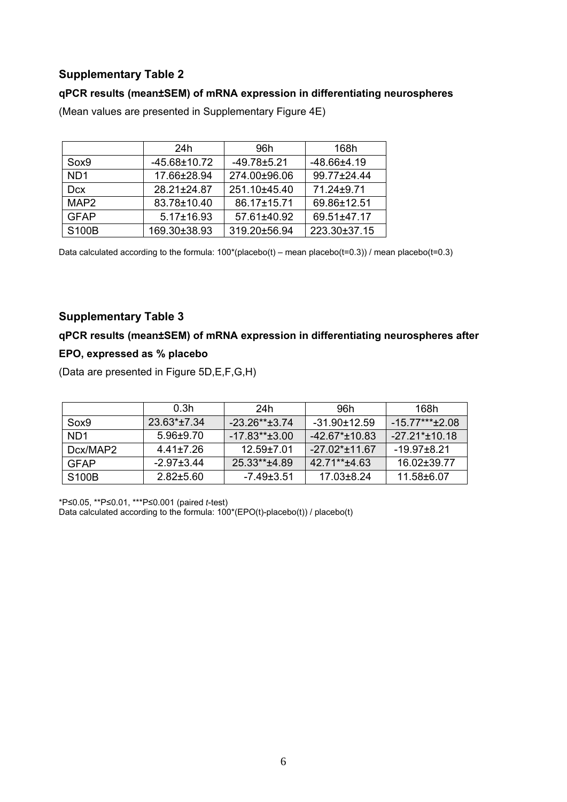### **Supplementary Table 2**

#### **qPCR results (mean±SEM) of mRNA expression in differentiating neurospheres**

|                  | 24h                | 96h               | 168h              |
|------------------|--------------------|-------------------|-------------------|
| Sox9             | $-45.68 \pm 10.72$ | $-49.78 \pm 5.21$ | $-48.66 \pm 4.19$ |
| N <sub>D</sub> 1 | 17.66±28.94        | 274.00±96.06      | 99.77±24.44       |
| <b>Dcx</b>       | 28.21±24.87        | 251.10±45.40      | 71.24±9.71        |
| MAP <sub>2</sub> | 83.78±10.40        | 86.17±15.71       | 69.86±12.51       |
| <b>GFAP</b>      | $5.17 \pm 16.93$   | 57.61±40.92       | 69.51±47.17       |
| S100B            | 169.30±38.93       | 319.20±56.94      | 223.30±37.15      |

(Mean values are presented in Supplementary Figure 4E)

Data calculated according to the formula:  $100^*$ (placebo(t) – mean placebo(t=0.3)) / mean placebo(t=0.3)

#### **Supplementary Table 3**

### **qPCR results (mean±SEM) of mRNA expression in differentiating neurospheres after EPO, expressed as % placebo**

(Data are presented in Figure 5D,E,F,G,H)

|                    | 0.3h             | 24h                 | 96h                               | 168h              |
|--------------------|------------------|---------------------|-----------------------------------|-------------------|
| Sox9               | $23.63*+7.34$    | $-23.26** \pm 3.74$ | $-31.90 \pm 12.59$                | $-15.77***+2.08$  |
| ND <sub>1</sub>    | $5.96 \pm 9.70$  | $-17.83**+3.00$     | $-42.67$ <sup>*</sup> $\pm$ 10.83 | $-27.21^*$ ±10.18 |
| Dcx/MAP2           | 4.41±7.26        | $12.59 + 7.01$      | $-27.02 \pm 11.67$                | $-19.97 + 8.21$   |
| <b>GFAP</b>        | $-2.97 \pm 3.44$ | 25.33**±4.89        | $42.71**+4.63$                    | 16.02±39.77       |
| S <sub>100</sub> B | $2.82 \pm 5.60$  | -7.49±3.51          | 17.03±8.24                        | 11.58±6.07        |

\*P≤0.05, \*\*P≤0.01, \*\*\*P≤0.001 (paired *t*-test) Data calculated according to the formula:  $100^*(EPO(t)-placebo(t))$  / placebo(t)